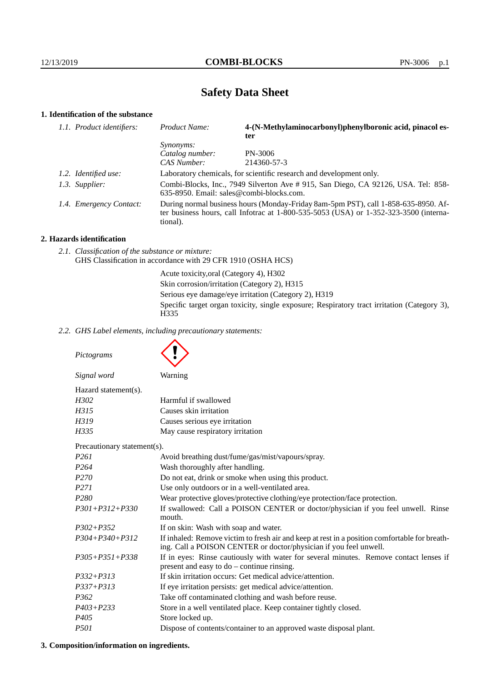# **Safety Data Sheet**

## **1. Identification of the substance**

| 1.1. Product identifiers: | Product Name:                                                                                                                                                                           | 4-(N-Methylaminocarbonyl)phenylboronic acid, pinacol es-<br>ter     |
|---------------------------|-----------------------------------------------------------------------------------------------------------------------------------------------------------------------------------------|---------------------------------------------------------------------|
|                           | <i>Synonyms:</i>                                                                                                                                                                        |                                                                     |
|                           | Catalog number:                                                                                                                                                                         | PN-3006                                                             |
|                           | CAS Number:                                                                                                                                                                             | 214360-57-3                                                         |
| 1.2. Identified use:      |                                                                                                                                                                                         | Laboratory chemicals, for scientific research and development only. |
| 1.3. Supplier:            | Combi-Blocks, Inc., 7949 Silverton Ave #915, San Diego, CA 92126, USA. Tel: 858-<br>635-8950. Email: sales@combi-blocks.com.                                                            |                                                                     |
| 1.4. Emergency Contact:   | During normal business hours (Monday-Friday 8am-5pm PST), call 1-858-635-8950. Af-<br>ter business hours, call Infotrac at 1-800-535-5053 (USA) or 1-352-323-3500 (interna-<br>tional). |                                                                     |
|                           |                                                                                                                                                                                         |                                                                     |

## **2. Hazards identification**

*2.1. Classification of the substance or mixture:* GHS Classification in accordance with 29 CFR 1910 (OSHA HCS)

> Acute toxicity,oral (Category 4), H302 Skin corrosion/irritation (Category 2), H315 Serious eye damage/eye irritation (Category 2), H319 Specific target organ toxicity, single exposure; Respiratory tract irritation (Category 3), H335

*2.2. GHS Label elements, including precautionary statements:*

| Pictograms                  |                                                                                                                                                                    |
|-----------------------------|--------------------------------------------------------------------------------------------------------------------------------------------------------------------|
| Signal word                 | Warning                                                                                                                                                            |
| Hazard statement(s).        |                                                                                                                                                                    |
| H302                        | Harmful if swallowed                                                                                                                                               |
| H315                        | Causes skin irritation                                                                                                                                             |
| H319                        | Causes serious eye irritation                                                                                                                                      |
| H335                        | May cause respiratory irritation                                                                                                                                   |
| Precautionary statement(s). |                                                                                                                                                                    |
| P <sub>261</sub>            | Avoid breathing dust/fume/gas/mist/vapours/spray.                                                                                                                  |
| P <sub>264</sub>            | Wash thoroughly after handling.                                                                                                                                    |
| P <sub>270</sub>            | Do not eat, drink or smoke when using this product.                                                                                                                |
| P <sub>271</sub>            | Use only outdoors or in a well-ventilated area.                                                                                                                    |
| P <sub>280</sub>            | Wear protective gloves/protective clothing/eye protection/face protection.                                                                                         |
| $P301 + P312 + P330$        | If swallowed: Call a POISON CENTER or doctor/physician if you feel unwell. Rinse<br>mouth.                                                                         |
| $P302 + P352$               | If on skin: Wash with soap and water.                                                                                                                              |
| $P304 + P340 + P312$        | If inhaled: Remove victim to fresh air and keep at rest in a position comfortable for breath-<br>ing. Call a POISON CENTER or doctor/physician if you feel unwell. |
| $P305 + P351 + P338$        | If in eyes: Rinse cautiously with water for several minutes. Remove contact lenses if<br>present and easy to do – continue rinsing.                                |
| $P332 + P313$               | If skin irritation occurs: Get medical advice/attention.                                                                                                           |
| $P337 + P313$               | If eye irritation persists: get medical advice/attention.                                                                                                          |
| P <sub>362</sub>            | Take off contaminated clothing and wash before reuse.                                                                                                              |
| $P403 + P233$               | Store in a well ventilated place. Keep container tightly closed.                                                                                                   |
| P <sub>405</sub>            | Store locked up.                                                                                                                                                   |
| <i>P501</i>                 | Dispose of contents/container to an approved waste disposal plant.                                                                                                 |

## **3. Composition/information on ingredients.**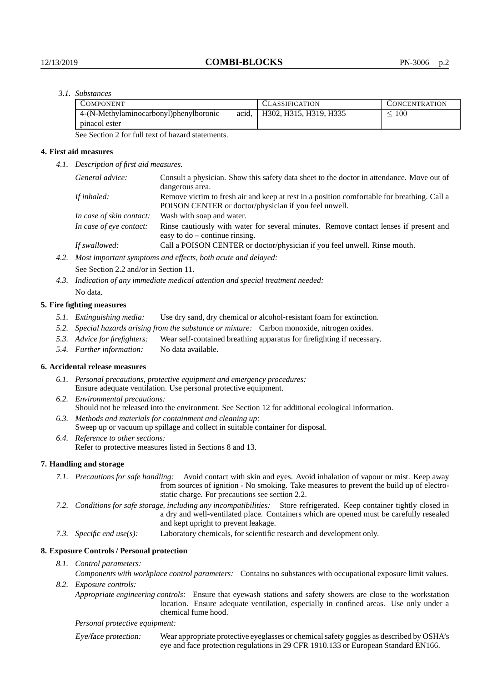## *3.1. Substances*

| <b>COMPONENT</b>                       |       | <b>CLASSIFICATION</b>  | <b>CONCENTRATION</b> |
|----------------------------------------|-------|------------------------|----------------------|
| 4-(N-Methylaminocarbonyl)phenylboronic | acid. | H302, H315, H319, H335 | 100                  |
| pinacol ester                          |       |                        |                      |

See Section 2 for full text of hazard statements.

## **4. First aid measures**

*4.1. Description of first aid measures.*

| General advice:          | Consult a physician. Show this safety data sheet to the doctor in attendance. Move out of<br>dangerous area.                                         |
|--------------------------|------------------------------------------------------------------------------------------------------------------------------------------------------|
| If inhaled:              | Remove victim to fresh air and keep at rest in a position comfortable for breathing. Call a<br>POISON CENTER or doctor/physician if you feel unwell. |
| In case of skin contact: | Wash with soap and water.                                                                                                                            |
| In case of eye contact:  | Rinse cautiously with water for several minutes. Remove contact lenses if present and<br>easy to $do$ – continue rinsing.                            |
| If swallowed:            | Call a POISON CENTER or doctor/physician if you feel unwell. Rinse mouth.                                                                            |
|                          | Most important symptoms and effects both acute and delayed.                                                                                          |

*4.2. Most important symptoms and effects, both acute and delayed:* See Section 2.2 and/or in Section 11.

*4.3. Indication of any immediate medical attention and special treatment needed:* No data.

## **5. Fire fighting measures**

- *5.1. Extinguishing media:* Use dry sand, dry chemical or alcohol-resistant foam for extinction.
- *5.2. Special hazards arising from the substance or mixture:* Carbon monoxide, nitrogen oxides.
- *5.3. Advice for firefighters:* Wear self-contained breathing apparatus for firefighting if necessary.
- *5.4. Further information:* No data available.

## **6. Accidental release measures**

- *6.1. Personal precautions, protective equipment and emergency procedures:* Ensure adequate ventilation. Use personal protective equipment.
- *6.2. Environmental precautions:* Should not be released into the environment. See Section 12 for additional ecological information.
- *6.3. Methods and materials for containment and cleaning up:* Sweep up or vacuum up spillage and collect in suitable container for disposal.
- *6.4. Reference to other sections:* Refer to protective measures listed in Sections 8 and 13.

## **7. Handling and storage**

- *7.1. Precautions for safe handling:* Avoid contact with skin and eyes. Avoid inhalation of vapour or mist. Keep away from sources of ignition - No smoking. Take measures to prevent the build up of electrostatic charge. For precautions see section 2.2.
- *7.2. Conditions for safe storage, including any incompatibilities:* Store refrigerated. Keep container tightly closed in a dry and well-ventilated place. Containers which are opened must be carefully resealed and kept upright to prevent leakage.
- *7.3. Specific end use(s):* Laboratory chemicals, for scientific research and development only.

#### **8. Exposure Controls / Personal protection**

*8.1. Control parameters:*

*Components with workplace control parameters:* Contains no substances with occupational exposure limit values. *8.2. Exposure controls:*

*Appropriate engineering controls:* Ensure that eyewash stations and safety showers are close to the workstation location. Ensure adequate ventilation, especially in confined areas. Use only under a chemical fume hood.

*Personal protective equipment:*

Eye/face protection: Wear appropriate protective eyeglasses or chemical safety goggles as described by OSHA's eye and face protection regulations in 29 CFR 1910.133 or European Standard EN166.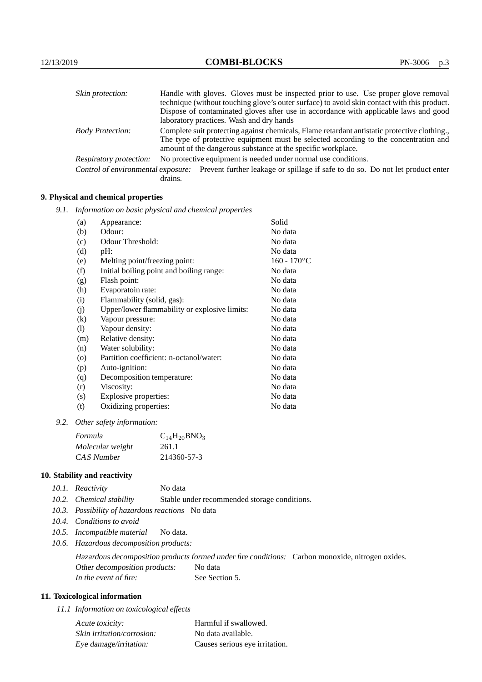| Skin protection:        | Handle with gloves. Gloves must be inspected prior to use. Use proper glove removal                                                                  |  |  |
|-------------------------|------------------------------------------------------------------------------------------------------------------------------------------------------|--|--|
|                         | technique (without touching glove's outer surface) to avoid skin contact with this product.                                                          |  |  |
|                         | Dispose of contaminated gloves after use in accordance with applicable laws and good                                                                 |  |  |
|                         | laboratory practices. Wash and dry hands                                                                                                             |  |  |
| <b>Body Protection:</b> | Complete suit protecting against chemicals, Flame retardant antistatic protective clothing.                                                          |  |  |
|                         | The type of protective equipment must be selected according to the concentration and<br>amount of the dangerous substance at the specific workplace. |  |  |
| Respiratory protection: | No protective equipment is needed under normal use conditions.                                                                                       |  |  |
|                         | Control of environmental exposure: Prevent further leakage or spillage if safe to do so. Do not let product enter<br>drains.                         |  |  |

## **9. Physical and chemical properties**

*9.1. Information on basic physical and chemical properties*

| (a)                        | Appearance:                                   | Solid          |
|----------------------------|-----------------------------------------------|----------------|
| (b)                        | Odour:                                        | No data        |
| (c)                        | Odour Threshold:                              | No data        |
| (d)                        | pH:                                           | No data        |
| (e)                        | Melting point/freezing point:                 | $160 - 170$ °C |
| (f)                        | Initial boiling point and boiling range:      | No data        |
| (g)                        | Flash point:                                  | No data        |
| (h)                        | Evaporatoin rate:                             | No data        |
| (i)                        | Flammability (solid, gas):                    | No data        |
| (j)                        | Upper/lower flammability or explosive limits: | No data        |
| $\left( k\right)$          | Vapour pressure:                              | No data        |
| $\left( \mathrm{l}\right)$ | Vapour density:                               | No data        |
| (m)                        | Relative density:                             | No data        |
| (n)                        | Water solubility:                             | No data        |
| $\circ$                    | Partition coefficient: n-octanol/water:       | No data        |
| (p)                        | Auto-ignition:                                | No data        |
| (q)                        | Decomposition temperature:                    | No data        |
| (r)                        | Viscosity:                                    | No data        |
| (s)                        | Explosive properties:                         | No data        |
| (t)                        | Oxidizing properties:                         | No data        |
|                            |                                               |                |

*9.2. Other safety information:*

| Formula          | $C_{14}H_{20}BNO_3$ |
|------------------|---------------------|
| Molecular weight | 261.1               |
| CAS Number       | 214360-57-3         |

## **10. Stability and reactivity**

|  | 10.1. Reactivity | No data |
|--|------------------|---------|
|--|------------------|---------|

- *10.2. Chemical stability* Stable under recommended storage conditions.
- *10.3. Possibility of hazardous reactions* No data
- *10.4. Conditions to avoid*
- *10.5. Incompatible material* No data.
- *10.6. Hazardous decomposition products:*

Hazardous decomposition products formed under fire conditions: Carbon monoxide, nitrogen oxides. Other decomposition products: No data In the event of fire: See Section 5.

## **11. Toxicological information**

*11.1 Information on toxicological effects*

| Acute toxicity:            | Harmful if swallowed.          |
|----------------------------|--------------------------------|
| Skin irritation/corrosion: | No data available.             |
| Eye damage/irritation:     | Causes serious eye irritation. |